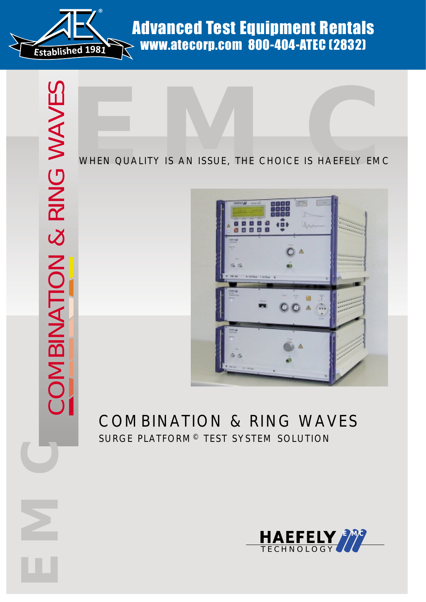

Advanced Test Equipment Rentals www.atecorp.com 800-404-ATEC (2832)

### WHEN QUALITY IS AN ISSUE, THE CHOICE IS HAEFELY EMC



## COMBINATION & RING WAVES SURGE PLATFORM© TEST SYSTEM SOLUTION

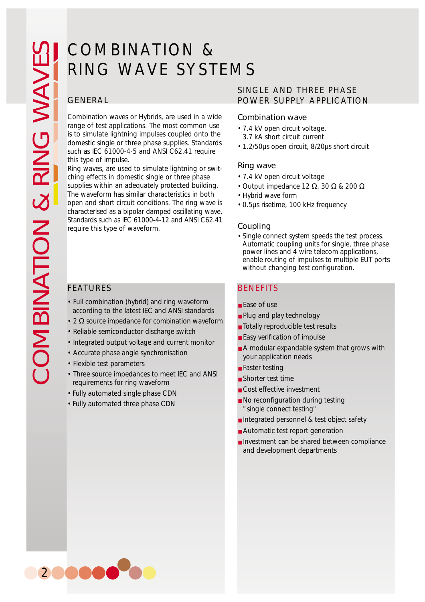# COMBINATION & RING WAVE SYSTEMS

Combination waves or Hybrids, are used in a wide range of test applications. The most common use is to simulate lightning impulses coupled onto the domestic single or three phase supplies. Standards such as IEC 61000-4-5 and ANSI C62.41 require this type of impulse.

Ring waves, are used to simulate lightning or switching effects in domestic single or three phase supplies within an adequately protected building. The waveform has similar characteristics in both open and short circuit conditions. The ring wave is characterised as a bipolar damped oscillating wave. Standards such as IEC 61000-4-12 and ANSI C62.41 require this type of waveform.

- Full combination (hybrid) and ring waveform according to the latest IEC and ANSI standards
- 2  $\Omega$  source impedance for combination waveform
- Reliable semiconductor discharge switch
- Integrated output voltage and current monitor
- Accurate phase angle synchronisation
- Flexible test parameters
- Three source impedances to meet IEC and ANSI requirements for ring waveform
- Fully automated single phase CDN
- Fully automated three phase CDN

### SINGLE AND THREE PHASE POWER SUPPLY APPLICATION

### Combination wave

- 7.4 kV open circuit voltage,
	- 3.7 kA short circuit current
- 1.2/50µs open circuit, 8/20µs short circuit

### Ring wave

- 7.4 kV open circuit voltage
- Output impedance 12 Ω, 30 Ω & 200 Ω
- Hybrid wave form
- 0.5µs risetime, 100 kHz frequency

### Coupling

• Single connect system speeds the test process. Automatic coupling units for single, three phase power lines and 4 wire telecom applications, enable routing of impulses to multiple EUT ports without changing test configuration.

### FEATURES BENEFITS

- Ease of use
- Plug and play technology
- Totally reproducible test results
- Easy verification of impulse
- A modular expandable system that grows with your application needs
- Faster testing
- Shorter test time
- Cost effective investment
- No reconfiguration during testing "single connect testing"
- Integrated personnel & test object safety
- Automatic test report generation
- Investment can be shared between compliance and development departments

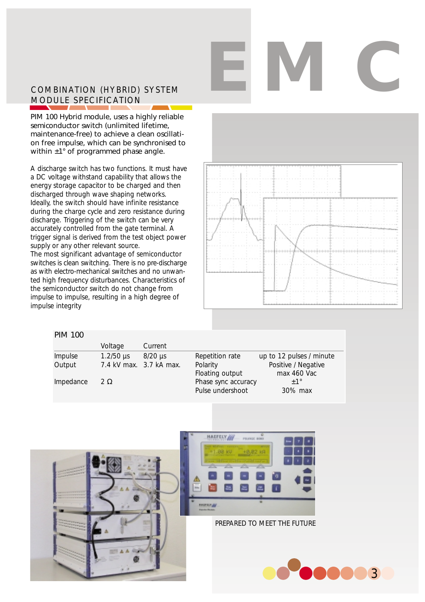# **EMC**

### COMBINATION (HYBRID) SYSTEM MODULE SPECIFICATION

PIM 100 Hybrid module, uses a highly reliable semiconductor switch (unlimited lifetime, maintenance-free) to achieve a clean oscillation free impulse, which can be synchronised to within  $\pm 1^{\circ}$  of programmed phase angle.

A discharge switch has two functions. It must have a DC voltage withstand capability that allows the energy storage capacitor to be charged and then discharged through wave shaping networks. Ideally, the switch should have infinite resistance during the charge cycle and zero resistance during discharge. Triggering of the switch can be very accurately controlled from the gate terminal. A trigger signal is derived from the test object power supply or any other relevant source. The most significant advantage of semiconductor switches is clean switching. There is no pre-discharge as with electro-mechanical switches and no unwanted high frequency disturbances. Characteristics of the semiconductor switch do not change from impulse to impulse, resulting in a high degree of impulse integrity



### PIM 100

|           | Voltage          | Current                 |                     |                          |
|-----------|------------------|-------------------------|---------------------|--------------------------|
| Impulse   | $1.2/50 \,\mu s$ | 8/20 µs                 | Repetition rate     | up to 12 pulses / minute |
| Output    |                  | 7.4 kV max. 3.7 kA max. | Polarity            | Positive / Negative      |
|           |                  |                         | Floating output     | max 460 Vac              |
| Impedance | 2Ω               |                         | Phase sync accuracy | $+1^{\circ}$             |
|           |                  |                         | Pulse undershoot    | 30% max                  |